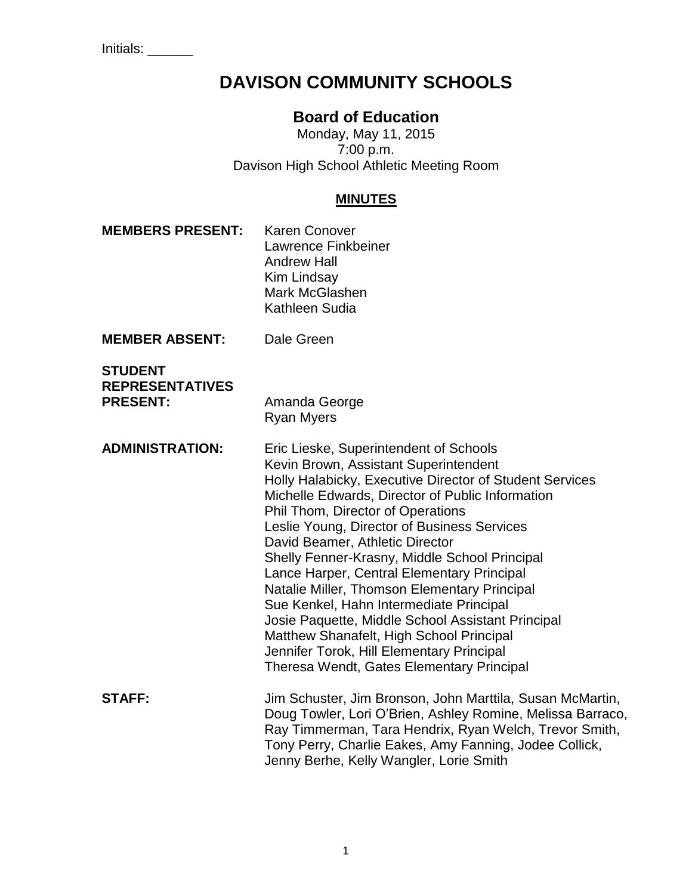Initials: \_\_\_\_\_\_

# **DAVISON COMMUNITY SCHOOLS**

## **Board of Education**

Monday, May 11, 2015 7:00 p.m. Davison High School Athletic Meeting Room

#### **MINUTES**

**MEMBERS PRESENT:** Karen Conover Lawrence Finkbeiner Andrew Hall Kim Lindsay Mark McGlashen Kathleen Sudia **MEMBER ABSENT:** Dale Green **STUDENT REPRESENTATIVES PRESENT:** Amanda George Ryan Myers **ADMINISTRATION:** Eric Lieske, Superintendent of Schools Kevin Brown, Assistant Superintendent Holly Halabicky, Executive Director of Student Services Michelle Edwards, Director of Public Information Phil Thom, Director of Operations Leslie Young, Director of Business Services David Beamer, Athletic Director Shelly Fenner-Krasny, Middle School Principal Lance Harper, Central Elementary Principal Natalie Miller, Thomson Elementary Principal Sue Kenkel, Hahn Intermediate Principal Josie Paquette, Middle School Assistant Principal Matthew Shanafelt, High School Principal Jennifer Torok, Hill Elementary Principal Theresa Wendt, Gates Elementary Principal **STAFF:** Jim Schuster, Jim Bronson, John Marttila, Susan McMartin, Doug Towler, Lori O'Brien, Ashley Romine, Melissa Barraco, Ray Timmerman, Tara Hendrix, Ryan Welch, Trevor Smith, Tony Perry, Charlie Eakes, Amy Fanning, Jodee Collick, Jenny Berhe, Kelly Wangler, Lorie Smith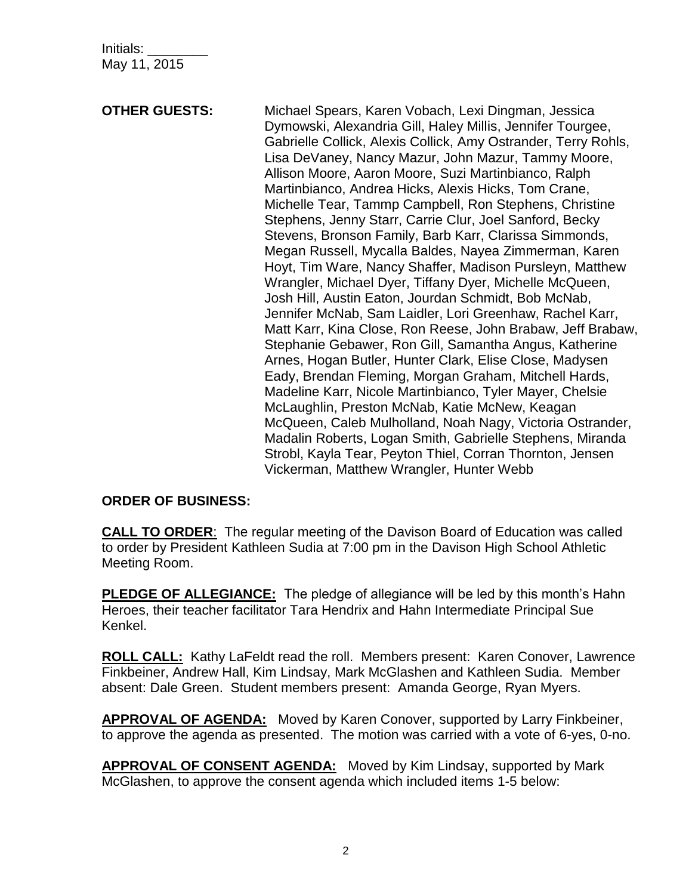Initials: \_\_\_\_\_\_\_\_ May 11, 2015

**OTHER GUESTS:** Michael Spears, Karen Vobach, Lexi Dingman, Jessica Dymowski, Alexandria Gill, Haley Millis, Jennifer Tourgee, Gabrielle Collick, Alexis Collick, Amy Ostrander, Terry Rohls, Lisa DeVaney, Nancy Mazur, John Mazur, Tammy Moore, Allison Moore, Aaron Moore, Suzi Martinbianco, Ralph Martinbianco, Andrea Hicks, Alexis Hicks, Tom Crane, Michelle Tear, Tammp Campbell, Ron Stephens, Christine Stephens, Jenny Starr, Carrie Clur, Joel Sanford, Becky Stevens, Bronson Family, Barb Karr, Clarissa Simmonds, Megan Russell, Mycalla Baldes, Nayea Zimmerman, Karen Hoyt, Tim Ware, Nancy Shaffer, Madison Pursleyn, Matthew Wrangler, Michael Dyer, Tiffany Dyer, Michelle McQueen, Josh Hill, Austin Eaton, Jourdan Schmidt, Bob McNab, Jennifer McNab, Sam Laidler, Lori Greenhaw, Rachel Karr, Matt Karr, Kina Close, Ron Reese, John Brabaw, Jeff Brabaw, Stephanie Gebawer, Ron Gill, Samantha Angus, Katherine Arnes, Hogan Butler, Hunter Clark, Elise Close, Madysen Eady, Brendan Fleming, Morgan Graham, Mitchell Hards, Madeline Karr, Nicole Martinbianco, Tyler Mayer, Chelsie McLaughlin, Preston McNab, Katie McNew, Keagan McQueen, Caleb Mulholland, Noah Nagy, Victoria Ostrander, Madalin Roberts, Logan Smith, Gabrielle Stephens, Miranda Strobl, Kayla Tear, Peyton Thiel, Corran Thornton, Jensen Vickerman, Matthew Wrangler, Hunter Webb

#### **ORDER OF BUSINESS:**

**CALL TO ORDER**: The regular meeting of the Davison Board of Education was called to order by President Kathleen Sudia at 7:00 pm in the Davison High School Athletic Meeting Room.

**PLEDGE OF ALLEGIANCE:** The pledge of allegiance will be led by this month's Hahn Heroes, their teacher facilitator Tara Hendrix and Hahn Intermediate Principal Sue Kenkel.

**ROLL CALL:** Kathy LaFeldt read the roll. Members present: Karen Conover, Lawrence Finkbeiner, Andrew Hall, Kim Lindsay, Mark McGlashen and Kathleen Sudia. Member absent: Dale Green. Student members present: Amanda George, Ryan Myers.

**APPROVAL OF AGENDA:** Moved by Karen Conover, supported by Larry Finkbeiner, to approve the agenda as presented. The motion was carried with a vote of 6-yes, 0-no.

**APPROVAL OF CONSENT AGENDA:** Moved by Kim Lindsay, supported by Mark McGlashen, to approve the consent agenda which included items 1-5 below: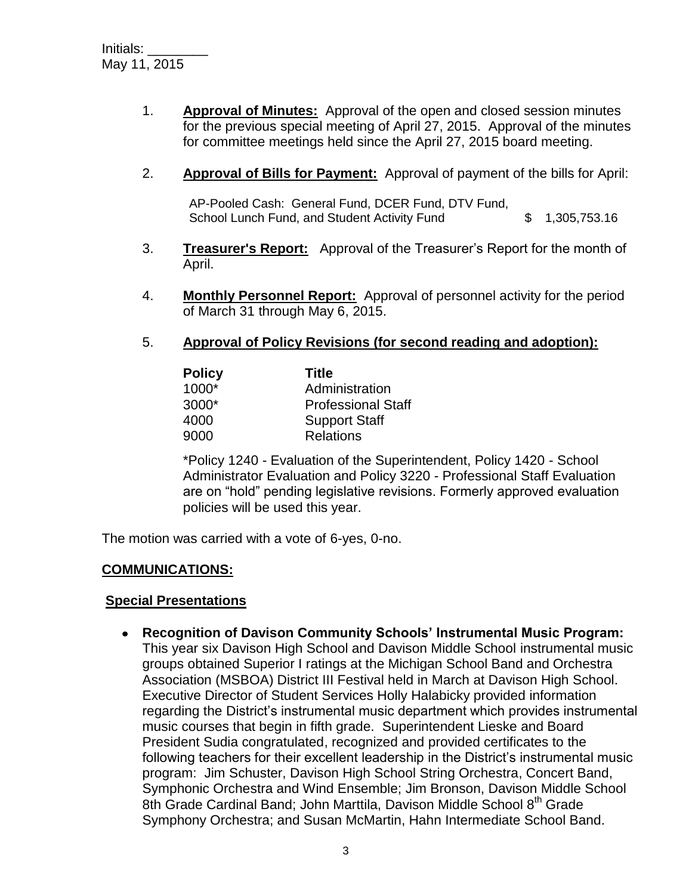- 1. **Approval of Minutes:** Approval of the open and closed session minutes for the previous special meeting of April 27, 2015. Approval of the minutes for committee meetings held since the April 27, 2015 board meeting.
- 2. **Approval of Bills for Payment:** Approval of payment of the bills for April:

AP-Pooled Cash: General Fund, DCER Fund, DTV Fund, School Lunch Fund, and Student Activity Fund  $$ 1,305,753.16$ 

- 3. **Treasurer's Report:** Approval of the Treasurer's Report for the month of April.
- 4. **Monthly Personnel Report:** Approval of personnel activity for the period of March 31 through May 6, 2015.
- 5. **Approval of Policy Revisions (for second reading and adoption):**

| <b>Policy</b> | Title                     |
|---------------|---------------------------|
| $1000*$       | Administration            |
| $3000*$       | <b>Professional Staff</b> |
| 4000          | <b>Support Staff</b>      |
| 9000          | <b>Relations</b>          |

\*Policy 1240 - Evaluation of the Superintendent, Policy 1420 - School Administrator Evaluation and Policy 3220 - Professional Staff Evaluation are on "hold" pending legislative revisions. Formerly approved evaluation policies will be used this year.

The motion was carried with a vote of 6-yes, 0-no.

#### **COMMUNICATIONS:**

#### **Special Presentations**

**Recognition of Davison Community Schools' Instrumental Music Program:**  This year six Davison High School and Davison Middle School instrumental music groups obtained Superior I ratings at the Michigan School Band and Orchestra Association (MSBOA) District III Festival held in March at Davison High School. Executive Director of Student Services Holly Halabicky provided information regarding the District's instrumental music department which provides instrumental music courses that begin in fifth grade. Superintendent Lieske and Board President Sudia congratulated, recognized and provided certificates to the following teachers for their excellent leadership in the District's instrumental music program: Jim Schuster, Davison High School String Orchestra, Concert Band, Symphonic Orchestra and Wind Ensemble; Jim Bronson, Davison Middle School 8th Grade Cardinal Band; John Marttila, Davison Middle School 8th Grade Symphony Orchestra; and Susan McMartin, Hahn Intermediate School Band.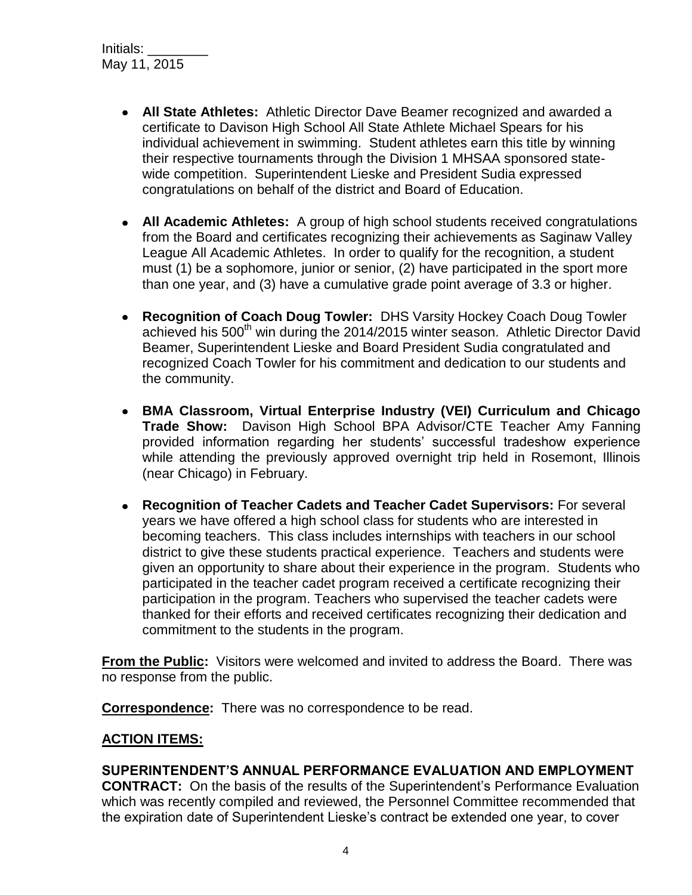- **All State Athletes:** Athletic Director Dave Beamer recognized and awarded a certificate to Davison High School All State Athlete Michael Spears for his individual achievement in swimming. Student athletes earn this title by winning their respective tournaments through the Division 1 MHSAA sponsored statewide competition. Superintendent Lieske and President Sudia expressed congratulations on behalf of the district and Board of Education.
- **All Academic Athletes:** A group of high school students received congratulations from the Board and certificates recognizing their achievements as Saginaw Valley League All Academic Athletes. In order to qualify for the recognition, a student must (1) be a sophomore, junior or senior, (2) have participated in the sport more than one year, and (3) have a cumulative grade point average of 3.3 or higher.
- **Recognition of Coach Doug Towler:** DHS Varsity Hockey Coach Doug Towler achieved his 500<sup>th</sup> win during the 2014/2015 winter season. Athletic Director David Beamer, Superintendent Lieske and Board President Sudia congratulated and recognized Coach Towler for his commitment and dedication to our students and the community.
- **BMA Classroom, Virtual Enterprise Industry (VEI) Curriculum and Chicago Trade Show:** Davison High School BPA Advisor/CTE Teacher Amy Fanning provided information regarding her students' successful tradeshow experience while attending the previously approved overnight trip held in Rosemont, Illinois (near Chicago) in February.
- **Recognition of Teacher Cadets and Teacher Cadet Supervisors:** For several years we have offered a high school class for students who are interested in becoming teachers. This class includes internships with teachers in our school district to give these students practical experience. Teachers and students were given an opportunity to share about their experience in the program. Students who participated in the teacher cadet program received a certificate recognizing their participation in the program. Teachers who supervised the teacher cadets were thanked for their efforts and received certificates recognizing their dedication and commitment to the students in the program.

**From the Public:** Visitors were welcomed and invited to address the Board. There was no response from the public.

**Correspondence:** There was no correspondence to be read.

## **ACTION ITEMS:**

## **SUPERINTENDENT'S ANNUAL PERFORMANCE EVALUATION AND EMPLOYMENT**

**CONTRACT:** On the basis of the results of the Superintendent's Performance Evaluation which was recently compiled and reviewed, the Personnel Committee recommended that the expiration date of Superintendent Lieske's contract be extended one year, to cover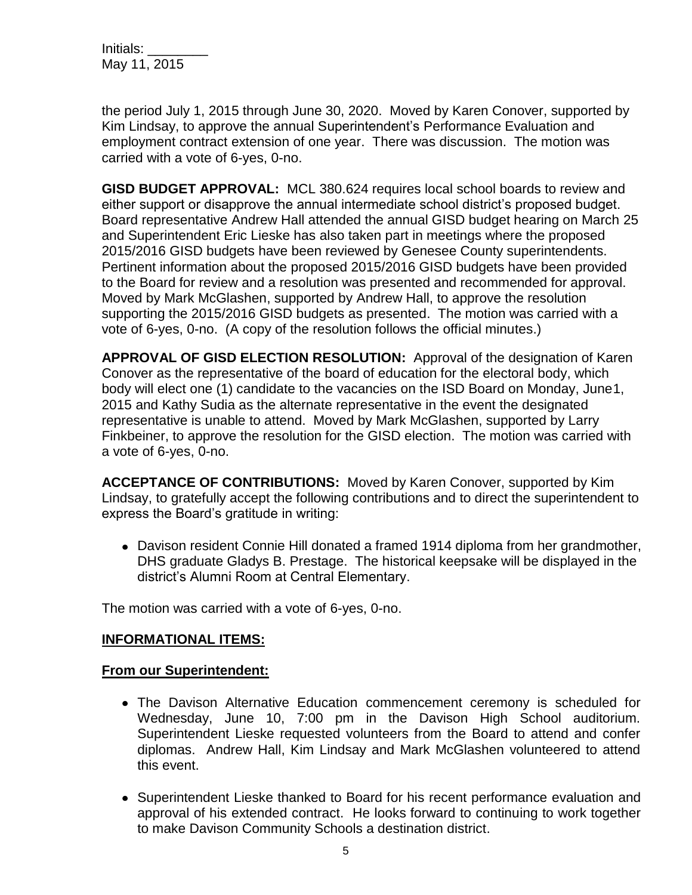Initials: May 11, 2015

the period July 1, 2015 through June 30, 2020. Moved by Karen Conover, supported by Kim Lindsay, to approve the annual Superintendent's Performance Evaluation and employment contract extension of one year. There was discussion. The motion was carried with a vote of 6-yes, 0-no.

**GISD BUDGET APPROVAL:** MCL 380.624 requires local school boards to review and either support or disapprove the annual intermediate school district's proposed budget. Board representative Andrew Hall attended the annual GISD budget hearing on March 25 and Superintendent Eric Lieske has also taken part in meetings where the proposed 2015/2016 GISD budgets have been reviewed by Genesee County superintendents. Pertinent information about the proposed 2015/2016 GISD budgets have been provided to the Board for review and a resolution was presented and recommended for approval. Moved by Mark McGlashen, supported by Andrew Hall, to approve the resolution supporting the 2015/2016 GISD budgets as presented. The motion was carried with a vote of 6-yes, 0-no. (A copy of the resolution follows the official minutes.)

**APPROVAL OF GISD ELECTION RESOLUTION:** Approval of the designation of Karen Conover as the representative of the board of education for the electoral body, which body will elect one (1) candidate to the vacancies on the ISD Board on Monday, June1, 2015 and Kathy Sudia as the alternate representative in the event the designated representative is unable to attend. Moved by Mark McGlashen, supported by Larry Finkbeiner, to approve the resolution for the GISD election. The motion was carried with a vote of 6-yes, 0-no.

**ACCEPTANCE OF CONTRIBUTIONS:** Moved by Karen Conover, supported by Kim Lindsay, to gratefully accept the following contributions and to direct the superintendent to express the Board's gratitude in writing:

Davison resident Connie Hill donated a framed 1914 diploma from her grandmother, DHS graduate Gladys B. Prestage. The historical keepsake will be displayed in the district's Alumni Room at Central Elementary.

The motion was carried with a vote of 6-yes, 0-no.

## **INFORMATIONAL ITEMS:**

## **From our Superintendent:**

- The Davison Alternative Education commencement ceremony is scheduled for Wednesday, June 10, 7:00 pm in the Davison High School auditorium. Superintendent Lieske requested volunteers from the Board to attend and confer diplomas. Andrew Hall, Kim Lindsay and Mark McGlashen volunteered to attend this event.
- Superintendent Lieske thanked to Board for his recent performance evaluation and approval of his extended contract. He looks forward to continuing to work together to make Davison Community Schools a destination district.